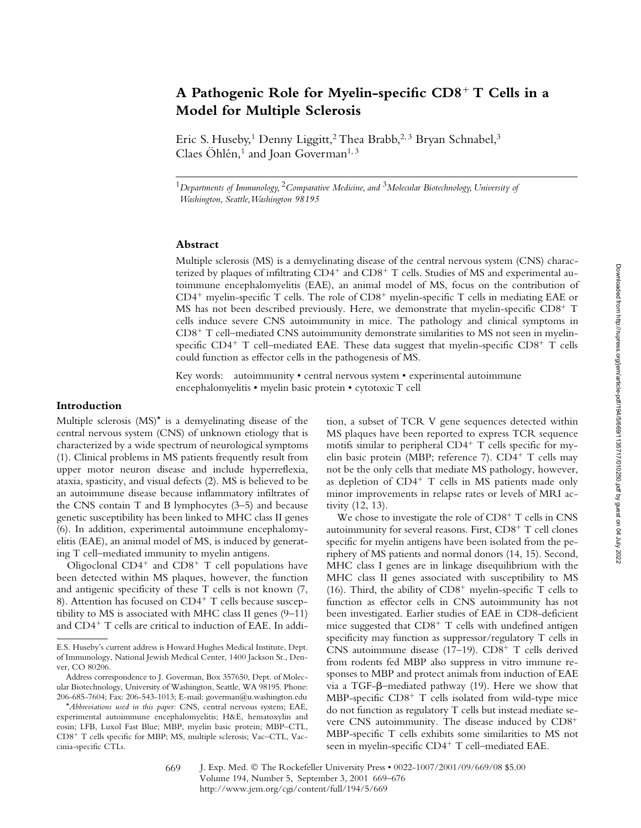# **A Pathogenic Role for Myelin-specific CD8**- **T Cells in a Model for Multiple Sclerosis**

Eric S. Huseby,<sup>1</sup> Denny Liggitt,<sup>2</sup> Thea Brabb,<sup>2,3</sup> Bryan Schnabel,<sup>3</sup> Claes Öhlén,<sup>1</sup> and Joan Goverman<sup>1, 3</sup>

<sup>1</sup>*Departments of Immunology,* 2*Comparative Medicine, and* 3*Molecular Biotechnology, University of Washington, Seattle, Washington 98195*

# **Abstract**

Multiple sclerosis (MS) is a demyelinating disease of the central nervous system (CNS) characterized by plaques of infiltrating CD4<sup>+</sup> and CD8<sup>+</sup> T cells. Studies of MS and experimental autoimmune encephalomyelitis (EAE), an animal model of MS, focus on the contribution of CD4<sup>+</sup> myelin-specific T cells. The role of CD8<sup>+</sup> myelin-specific T cells in mediating EAE or MS has not been described previously. Here, we demonstrate that myelin-specific CD8<sup>+</sup> T cells induce severe CNS autoimmunity in mice. The pathology and clinical symptoms in CD8<sup>+</sup> T cell-mediated CNS autoimmunity demonstrate similarities to MS not seen in myelinspecific CD4<sup>+</sup> T cell-mediated EAE. These data suggest that myelin-specific CD8<sup>+</sup> T cells could function as effector cells in the pathogenesis of MS.

Key words: autoimmunity • central nervous system • experimental autoimmune encephalomyelitis • myelin basic protein • cytotoxic T cell

#### **Introduction**

Multiple sclerosis (MS)\* is a demyelinating disease of the central nervous system (CNS) of unknown etiology that is characterized by a wide spectrum of neurological symptoms (1). Clinical problems in MS patients frequently result from upper motor neuron disease and include hyperreflexia, ataxia, spasticity, and visual defects (2). MS is believed to be an autoimmune disease because inflammatory infiltrates of the CNS contain T and B lymphocytes (3–5) and because genetic susceptibility has been linked to MHC class II genes (6). In addition, experimental autoimmune encephalomyelitis (EAE), an animal model of MS, is induced by generating T cell–mediated immunity to myelin antigens.

Oligoclonal  $CD4^+$  and  $CD8^+$  T cell populations have been detected within MS plaques, however, the function and antigenic specificity of these T cells is not known (7, 8). Attention has focused on CD4<sup>+</sup> T cells because susceptibility to MS is associated with MHC class II genes (9–11) and CD4<sup>+</sup> T cells are critical to induction of EAE. In addi-

tion, a subset of TCR V gene sequences detected within MS plaques have been reported to express TCR sequence motifs similar to peripheral CD4<sup>+</sup> T cells specific for myelin basic protein (MBP; reference 7). CD4<sup>+</sup> T cells may not be the only cells that mediate MS pathology, however, as depletion of CD4<sup>+</sup> T cells in MS patients made only minor improvements in relapse rates or levels of MRI activity (12, 13).

We chose to investigate the role of CD8<sup>+</sup> T cells in CNS autoimmunity for several reasons. First,  $CD8^+$  T cell clones specific for myelin antigens have been isolated from the periphery of MS patients and normal donors (14, 15). Second, MHC class I genes are in linkage disequilibrium with the MHC class II genes associated with susceptibility to MS (16). Third, the ability of  $CD8^+$  myelin-specific T cells to function as effector cells in CNS autoimmunity has not been investigated. Earlier studies of EAE in CD8-deficient mice suggested that  $CD8<sup>+</sup>$  T cells with undefined antigen specificity may function as suppressor/regulatory T cells in CNS autoimmune disease (17-19). CD8<sup>+</sup> T cells derived from rodents fed MBP also suppress in vitro immune responses to MBP and protect animals from induction of EAE via a TGF- $\beta$ -mediated pathway (19). Here we show that MBP-specific CD8<sup>+</sup> T cells isolated from wild-type mice do not function as regulatory T cells but instead mediate severe CNS autoimmunity. The disease induced by CD8<sup>+</sup> MBP-specific T cells exhibits some similarities to MS not seen in myelin-specific CD4<sup>+</sup> T cell–mediated EAE.

E.S. Huseby's current address is Howard Hughes Medical Institute, Dept. of Immunology, National Jewish Medical Center, 1400 Jackson St., Denver, CO 80206.

Address correspondence to J. Goverman, Box 357650, Dept. of Molecular Biotechnology, University of Washington, Seattle, WA 98195. Phone: 206-685-7604; Fax: 206-543-1013; E-mail: goverman@u.washington.edu

<sup>\*</sup>*Abbreviations used in this paper:* CNS, central nervous system; EAE, experimental autoimmune encephalomyelitis; H&E, hematoxylin and eosin; LFB, Luxol Fast Blue; MBP, myelin basic protein; MBP–CTL, CD8- T cells specific for MBP; MS, multiple sclerosis; Vac–CTL, Vaccinia-specific CTLs.

J. Exp. Med. © The Rockefeller University Press • 0022-1007/2001/09/669/08 \$5.00 Volume 194, Number 5, September 3, 2001 669–676 http://www.jem.org/cgi/content/full/194/5/669 669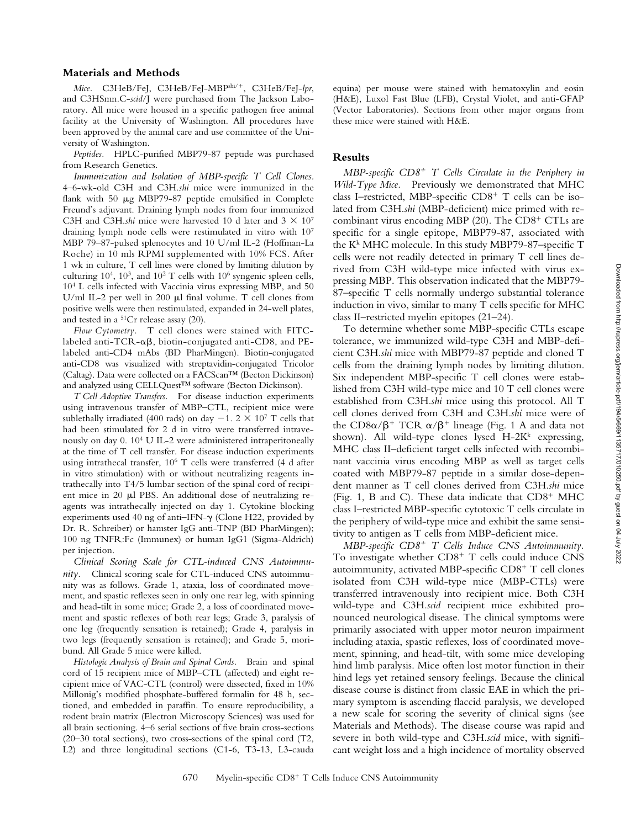## **Materials and Methods**

*Mice.* C3HeB/FeJ, C3HeB/FeJ-MBPshi/-, C3HeB/FeJ-*lpr*, and C3HSmn.C-*scid*/J were purchased from The Jackson Laboratory. All mice were housed in a specific pathogen free animal facility at the University of Washington. All procedures have been approved by the animal care and use committee of the University of Washington.

*Peptides.* HPLC-purified MBP79-87 peptide was purchased from Research Genetics.

*Immunization and Isolation of MBP-specific T Cell Clones.* 4–6-wk-old C3H and C3H.*shi* mice were immunized in the flank with 50  $\mu$ g MBP79-87 peptide emulsified in Complete Freund's adjuvant. Draining lymph nodes from four immunized C3H and C3H.*shi* mice were harvested 10 d later and  $3 \times 10^7$ draining lymph node cells were restimulated in vitro with 107 MBP 79–87-pulsed splenocytes and 10 U/ml IL-2 (Hoffman-La Roche) in 10 mls RPMI supplemented with 10% FCS. After 1 wk in culture, T cell lines were cloned by limiting dilution by culturing  $10^4$ ,  $10^3$ , and  $10^2$  T cells with  $10^6$  syngenic spleen cells, 104 L cells infected with Vaccinia virus expressing MBP, and 50 U/ml IL-2 per well in 200  $\mu$ l final volume. T cell clones from positive wells were then restimulated, expanded in 24-well plates, and tested in a 51Cr release assay (20).

*Flow Cytometry.* T cell clones were stained with FITClabeled anti-TCR- $\alpha\beta$ , biotin-conjugated anti-CD8, and PElabeled anti-CD4 mAbs (BD PharMingen). Biotin-conjugated anti-CD8 was visualized with streptavidin-conjugated Tricolor (Caltag). Data were collected on a FACScan™ (Becton Dickinson) and analyzed using CELLQuest™ software (Becton Dickinson).

*T Cell Adoptive Transfers.* For disease induction experiments using intravenous transfer of MBP–CTL, recipient mice were sublethally irradiated (400 rads) on day  $-1$ . 2  $\times$  10<sup>7</sup> T cells that had been stimulated for 2 d in vitro were transferred intravenously on day 0. 104 U IL-2 were administered intraperitoneally at the time of T cell transfer. For disease induction experiments using intrathecal transfer, 106 T cells were transferred (4 d after in vitro stimulation) with or without neutralizing reagents intrathecally into T4/5 lumbar section of the spinal cord of recipient mice in  $20 \mu l$  PBS. An additional dose of neutralizing reagents was intrathecally injected on day 1. Cytokine blocking experiments used 40 ng of anti–IFN- $\gamma$  (Clone H22, provided by Dr. R. Schreiber) or hamster IgG anti-TNP (BD PharMingen); 100 ng TNFR:Fc (Immunex) or human IgG1 (Sigma-Aldrich) per injection.

*Clinical Scoring Scale for CTL-induced CNS Autoimmunity.* Clinical scoring scale for CTL-induced CNS autoimmunity was as follows. Grade 1, ataxia, loss of coordinated movement, and spastic reflexes seen in only one rear leg, with spinning and head-tilt in some mice; Grade 2, a loss of coordinated movement and spastic reflexes of both rear legs; Grade 3, paralysis of one leg (frequently sensation is retained); Grade 4, paralysis in two legs (frequently sensation is retained); and Grade 5, moribund. All Grade 5 mice were killed.

*Histologic Analysis of Brain and Spinal Cords.* Brain and spinal cord of 15 recipient mice of MBP–CTL (affected) and eight recipient mice of VAC-CTL (control) were dissected, fixed in 10% Millonig's modified phosphate-buffered formalin for 48 h, sectioned, and embedded in paraffin. To ensure reproducibility, a rodent brain matrix (Electron Microscopy Sciences) was used for all brain sectioning. 4–6 serial sections of five brain cross-sections (20–30 total sections), two cross-sections of the spinal cord (T2, L2) and three longitudinal sections (C1-6, T3-13, L3-cauda equina) per mouse were stained with hematoxylin and eosin (H&E), Luxol Fast Blue (LFB), Crystal Violet, and anti-GFAP (Vector Laboratories). Sections from other major organs from these mice were stained with H&E.

#### **Results**

*MBP-specific CD8*- *T Cells Circulate in the Periphery in Wild-Type Mice.* Previously we demonstrated that MHC class I-restricted, MBP-specific CD8<sup>+</sup> T cells can be isolated from C3H.*shi* (MBP-deficient) mice primed with recombinant virus encoding MBP (20). The CD8<sup>+</sup> CTLs are specific for a single epitope, MBP79-87, associated with the K<sup>k</sup> MHC molecule. In this study MBP79-87-specific T cells were not readily detected in primary T cell lines derived from C3H wild-type mice infected with virus expressing MBP. This observation indicated that the MBP79- 87–specific T cells normally undergo substantial tolerance induction in vivo, similar to many T cells specific for MHC class II–restricted myelin epitopes (21–24).

To determine whether some MBP-specific CTLs escape tolerance, we immunized wild-type C3H and MBP-deficient C3H.*shi* mice with MBP79-87 peptide and cloned T cells from the draining lymph nodes by limiting dilution. Six independent MBP-specific T cell clones were established from C3H wild-type mice and 10 T cell clones were established from C3H.*shi* mice using this protocol. All T cell clones derived from C3H and C3H.*shi* mice were of the CD8 $\alpha/\beta$ <sup>+</sup> TCR  $\alpha/\beta$ <sup>+</sup> lineage (Fig. 1 A and data not shown). All wild-type clones lysed  $H-2K^k$  expressing, MHC class II–deficient target cells infected with recombinant vaccinia virus encoding MBP as well as target cells coated with MBP79-87 peptide in a similar dose-dependent manner as T cell clones derived from C3H.*shi* mice (Fig. 1, B and C). These data indicate that CD8<sup>+</sup> MHC class I–restricted MBP-specific cytotoxic T cells circulate in the periphery of wild-type mice and exhibit the same sensitivity to antigen as T cells from MBP-deficient mice.

*MBP-specific CD8*- *T Cells Induce CNS Autoimmunity.* To investigate whether CD8<sup>+</sup> T cells could induce CNS autoimmunity, activated MBP-specific CD8<sup>+</sup> T cell clones isolated from C3H wild-type mice (MBP-CTLs) were transferred intravenously into recipient mice. Both C3H wild-type and C3H.*scid* recipient mice exhibited pronounced neurological disease. The clinical symptoms were primarily associated with upper motor neuron impairment including ataxia, spastic reflexes, loss of coordinated movement, spinning, and head-tilt, with some mice developing hind limb paralysis. Mice often lost motor function in their hind legs yet retained sensory feelings. Because the clinical disease course is distinct from classic EAE in which the primary symptom is ascending flaccid paralysis, we developed a new scale for scoring the severity of clinical signs (see Materials and Methods). The disease course was rapid and severe in both wild-type and C3H.*scid* mice, with significant weight loss and a high incidence of mortality observed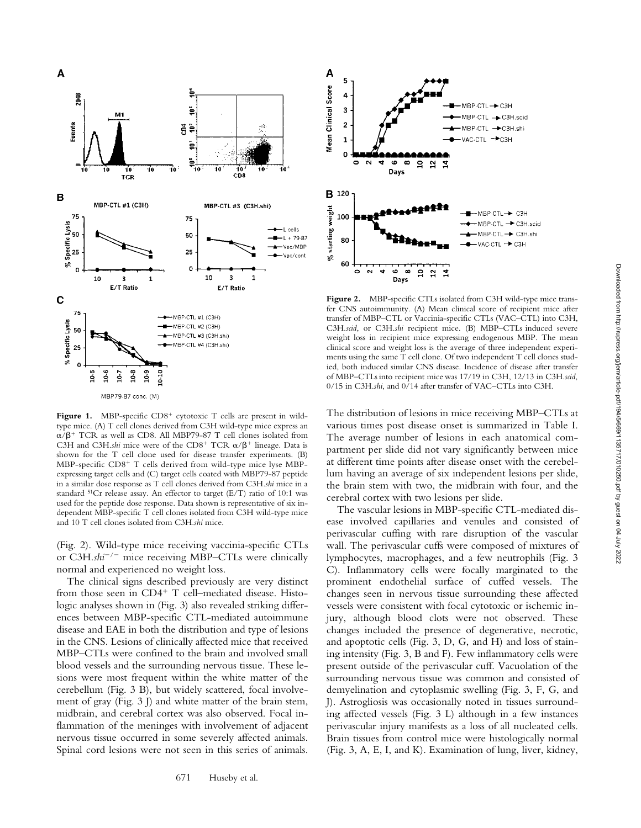

Figure 1. MBP-specific CD8<sup>+</sup> cytotoxic T cells are present in wildtype mice. (A) T cell clones derived from C3H wild-type mice express an  $\alpha/\beta$ <sup>+</sup> TCR as well as CD8. All MBP79-87 T cell clones isolated from C3H and C3H.shi mice were of the CD8<sup>+</sup> TCR  $\alpha/\beta$ <sup>+</sup> lineage. Data is shown for the T cell clone used for disease transfer experiments. (B) MBP-specific CD8<sup>+</sup> T cells derived from wild-type mice lyse MBPexpressing target cells and (C) target cells coated with MBP79-87 peptide in a similar dose response as T cell clones derived from C3H.*shi* mice in a standard 51Cr release assay. An effector to target (E/T) ratio of 10:1 was used for the peptide dose response. Data shown is representative of six independent MBP-specific T cell clones isolated from C3H wild-type mice and 10 T cell clones isolated from C3H.*shi* mice.

(Fig. 2). Wild-type mice receiving vaccinia-specific CTLs or C3H.shi<sup>-/-</sup> mice receiving MBP-CTLs were clinically normal and experienced no weight loss.

The clinical signs described previously are very distinct from those seen in CD4<sup>+</sup> T cell-mediated disease. Histologic analyses shown in (Fig. 3) also revealed striking differences between MBP-specific CTL-mediated autoimmune disease and EAE in both the distribution and type of lesions in the CNS. Lesions of clinically affected mice that received MBP–CTLs were confined to the brain and involved small blood vessels and the surrounding nervous tissue. These lesions were most frequent within the white matter of the cerebellum (Fig. 3 B), but widely scattered, focal involvement of gray (Fig. 3 J) and white matter of the brain stem, midbrain, and cerebral cortex was also observed. Focal inflammation of the meninges with involvement of adjacent nervous tissue occurred in some severely affected animals. Spinal cord lesions were not seen in this series of animals.



Figure 2. MBP-specific CTLs isolated from C3H wild-type mice transfer CNS autoimmunity. (A) Mean clinical score of recipient mice after transfer of MBP–CTL or Vaccinia-specific CTLs (VAC–CTL) into C3H, C3H.*scid*, or C3H.*shi* recipient mice. (B) MBP–CTLs induced severe weight loss in recipient mice expressing endogenous MBP. The mean clinical score and weight loss is the average of three independent experiments using the same T cell clone. Of two independent T cell clones studied, both induced similar CNS disease. Incidence of disease after transfer of MBP–CTLs into recipient mice was 17/19 in C3H, 12/13 in C3H.*scid*, 0/15 in C3H.*shi*, and 0/14 after transfer of VAC–CTLs into C3H.

The distribution of lesions in mice receiving MBP–CTLs at various times post disease onset is summarized in Table I. The average number of lesions in each anatomical compartment per slide did not vary significantly between mice at different time points after disease onset with the cerebellum having an average of six independent lesions per slide, the brain stem with two, the midbrain with four, and the cerebral cortex with two lesions per slide.

The vascular lesions in MBP-specific CTL-mediated disease involved capillaries and venules and consisted of perivascular cuffing with rare disruption of the vascular wall. The perivascular cuffs were composed of mixtures of lymphocytes, macrophages, and a few neutrophils (Fig. 3 C). Inflammatory cells were focally marginated to the prominent endothelial surface of cuffed vessels. The changes seen in nervous tissue surrounding these affected vessels were consistent with focal cytotoxic or ischemic injury, although blood clots were not observed. These changes included the presence of degenerative, necrotic, and apoptotic cells (Fig. 3, D, G, and H) and loss of staining intensity (Fig. 3, B and F). Few inflammatory cells were present outside of the perivascular cuff. Vacuolation of the surrounding nervous tissue was common and consisted of demyelination and cytoplasmic swelling (Fig. 3, F, G, and J). Astrogliosis was occasionally noted in tissues surrounding affected vessels (Fig. 3 L) although in a few instances perivascular injury manifests as a loss of all nucleated cells. Brain tissues from control mice were histologically normal (Fig. 3, A, E, I, and K). Examination of lung, liver, kidney,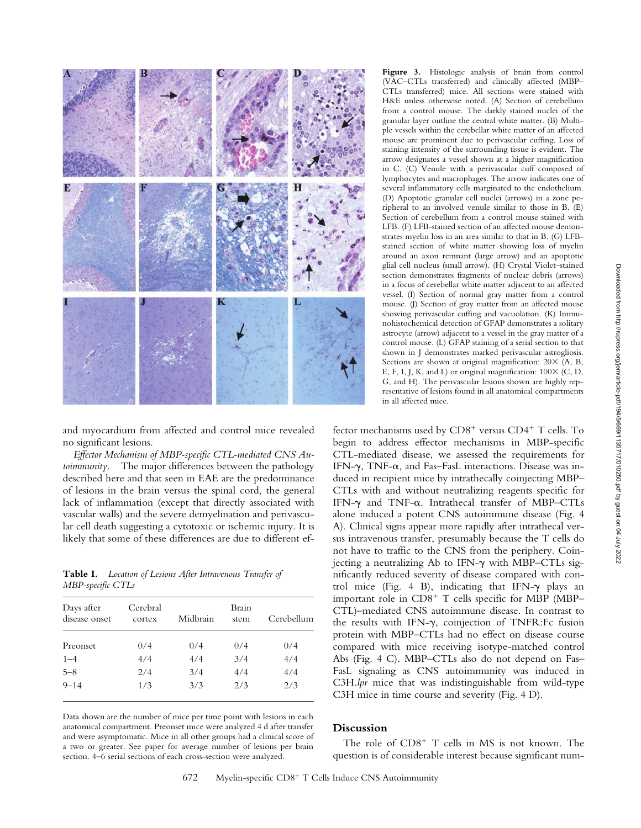

and myocardium from affected and control mice revealed no significant lesions.

*Effector Mechanism of MBP-specific CTL-mediated CNS Autoimmunity.* The major differences between the pathology described here and that seen in EAE are the predominance of lesions in the brain versus the spinal cord, the general lack of inflammation (except that directly associated with vascular walls) and the severe demyelination and perivascular cell death suggesting a cytotoxic or ischemic injury. It is likely that some of these differences are due to different ef-

**Table I.** *Location of Lesions After Intravenous Transfer of MBP-specific CTLs*

| Days after<br>disease onset | Cerebral<br>cortex | Midbrain | Brain<br>stem | Cerebellum |
|-----------------------------|--------------------|----------|---------------|------------|
| Preonset                    | 0/4                | 0/4      | 0/4           | 0/4        |
| $1 - 4$                     | 4/4                | 4/4      | 3/4           | 4/4        |
| $5 - 8$                     | 2/4                | 3/4      | 4/4           | 4/4        |
| $9 - 14$                    | 1/3                | 3/3      | 2/3           | 2/3        |

Data shown are the number of mice per time point with lesions in each anatomical compartment. Preonset mice were analyzed 4 d after transfer and were asymptomatic. Mice in all other groups had a clinical score of a two or greater. See paper for average number of lesions per brain section. 4–6 serial sections of each cross-section were analyzed.

**Figure 3.** Histologic analysis of brain from control (VAC–CTLs transferred) and clinically affected (MBP– CTLs transferred) mice. All sections were stained with H&E unless otherwise noted. (A) Section of cerebellum from a control mouse. The darkly stained nuclei of the granular layer outline the central white matter. (B) Multiple vessels within the cerebellar white matter of an affected mouse are prominent due to perivascular cuffing. Loss of staining intensity of the surrounding tissue is evident. The arrow designates a vessel shown at a higher magnification in C. (C) Venule with a perivascular cuff composed of lymphocytes and macrophages. The arrow indicates one of several inflammatory cells marginated to the endothelium. (D) Apoptotic granular cell nuclei (arrows) in a zone peripheral to an involved venule similar to those in B. (E) Section of cerebellum from a control mouse stained with LFB. (F) LFB-stained section of an affected mouse demonstrates myelin loss in an area similar to that in B. (G) LFBstained section of white matter showing loss of myelin around an axon remnant (large arrow) and an apoptotic glial cell nucleus (small arrow). (H) Crystal Violet–stained section demonstrates fragments of nuclear debris (arrows) in a focus of cerebellar white matter adjacent to an affected vessel. (I) Section of normal gray matter from a control mouse. (J) Section of gray matter from an affected mouse showing perivascular cuffing and vacuolation. (K) Immunohistochemical detection of GFAP demonstrates a solitary astrocyte (arrow) adjacent to a vessel in the gray matter of a control mouse. (L) GFAP staining of a serial section to that shown in J demonstrates marked perivascular astrogliosis. Sections are shown at original magnification:  $20 \times (A, B, B)$ E, F, I, J, K, and L) or original magnification:  $100 \times (C, D, D)$ G, and H). The perivascular lesions shown are highly representative of lesions found in all anatomical compartments in all affected mice.

fector mechanisms used by CD8<sup>+</sup> versus CD4<sup>+</sup> T cells. To begin to address effector mechanisms in MBP-specific CTL-mediated disease, we assessed the requirements for IFN- $\gamma$ , TNF- $\alpha$ , and Fas–FasL interactions. Disease was induced in recipient mice by intrathecally coinjecting MBP– CTLs with and without neutralizing reagents specific for IFN- $\gamma$  and TNF- $\alpha$ . Intrathecal transfer of MBP–CTLs alone induced a potent CNS autoimmune disease (Fig. 4 A). Clinical signs appear more rapidly after intrathecal versus intravenous transfer, presumably because the T cells do not have to traffic to the CNS from the periphery. Coinjecting a neutralizing Ab to IFN- $\gamma$  with MBP–CTLs significantly reduced severity of disease compared with control mice (Fig. 4 B), indicating that IFN- $\gamma$  plays an important role in CD8<sup>+</sup> T cells specific for MBP (MBP– CTL)–mediated CNS autoimmune disease. In contrast to the results with IFN- $\gamma$ , coinjection of TNFR:Fc fusion protein with MBP–CTLs had no effect on disease course compared with mice receiving isotype-matched control Abs (Fig. 4 C). MBP–CTLs also do not depend on Fas– FasL signaling as CNS autoimmunity was induced in C3H.*lpr* mice that was indistinguishable from wild-type C3H mice in time course and severity (Fig. 4 D).

#### **Discussion**

The role of  $CD8<sup>+</sup>$  T cells in MS is not known. The question is of considerable interest because significant num-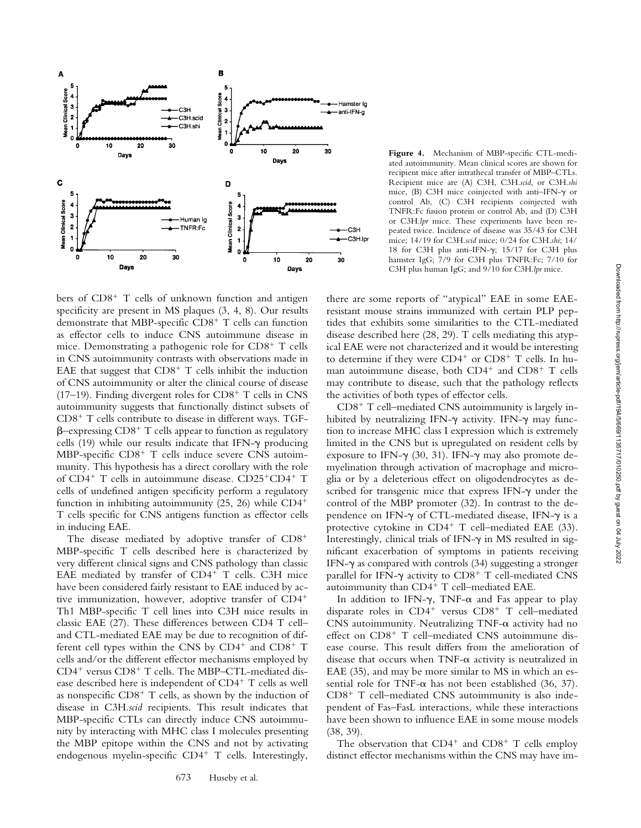

bers of CD8<sup>+</sup> T cells of unknown function and antigen specificity are present in MS plaques (3, 4, 8). Our results demonstrate that MBP-specific CD8<sup>+</sup> T cells can function as effector cells to induce CNS autoimmune disease in mice. Demonstrating a pathogenic role for CD8<sup>+</sup> T cells in CNS autoimmunity contrasts with observations made in EAE that suggest that  $CDS<sup>+</sup> T$  cells inhibit the induction of CNS autoimmunity or alter the clinical course of disease (17-19). Finding divergent roles for  $CD8<sup>+</sup>$  T cells in CNS autoimmunity suggests that functionally distinct subsets of CD8- T cells contribute to disease in different ways. TGF-  $\beta$ -expressing CD8<sup>+</sup> T cells appear to function as regulatory cells (19) while our results indicate that IFN- $\gamma$  producing MBP-specific CD8<sup>+</sup> T cells induce severe CNS autoimmunity. This hypothesis has a direct corollary with the role of CD4<sup>+</sup> T cells in autoimmune disease. CD25<sup>+</sup>CD4<sup>+</sup> T cells of undefined antigen specificity perform a regulatory function in inhibiting autoimmunity (25, 26) while CD4- T cells specific for CNS antigens function as effector cells in inducing EAE.

The disease mediated by adoptive transfer of CD8<sup>+</sup> MBP-specific T cells described here is characterized by very different clinical signs and CNS pathology than classic EAE mediated by transfer of CD4<sup>+</sup> T cells. C3H mice have been considered fairly resistant to EAE induced by active immunization, however, adoptive transfer of CD4- Th1 MBP-specific T cell lines into C3H mice results in classic EAE (27). These differences between CD4 T cell– and CTL-mediated EAE may be due to recognition of different cell types within the CNS by CD4<sup>+</sup> and CD8<sup>+</sup> T cells and/or the different effector mechanisms employed by CD4<sup>+</sup> versus CD8<sup>+</sup> T cells. The MBP-CTL-mediated disease described here is independent of CD4<sup>+</sup> T cells as well as nonspecific CD8<sup>+</sup> T cells, as shown by the induction of disease in C3H.*scid* recipients. This result indicates that MBP-specific CTLs can directly induce CNS autoimmunity by interacting with MHC class I molecules presenting the MBP epitope within the CNS and not by activating endogenous myelin-specific CD4<sup>+</sup> T cells. Interestingly,

673 Huseby et al.

**Figure 4.** Mechanism of MBP-specific CTL-mediated autoimmunity. Mean clinical scores are shown for recipient mice after intrathecal transfer of MBP–CTLs. Recipient mice are (A) C3H, C3H.*scid*, or C3H.*shi* mice, (B) C3H mice coinjected with anti-IFN- $\gamma$  or control Ab, (C) C3H recipients coinjected with TNFR:Fc fusion protein or control Ab, and (D) C3H or C3H.*lpr* mice. These experiments have been repeated twice. Incidence of disease was 35/43 for C3H mice; 14/19 for C3H.*scid* mice; 0/24 for C3H.*shi*; 14/ 18 for C3H plus anti-IFN- $\gamma$ ; 15/17 for C3H plus hamster IgG; 7/9 for C3H plus TNFR:Fc; 7/10 for C3H plus human IgG; and 9/10 for C3H.*lpr* mice.

there are some reports of "atypical" EAE in some EAEresistant mouse strains immunized with certain PLP peptides that exhibits some similarities to the CTL-mediated disease described here (28, 29). T cells mediating this atypical EAE were not characterized and it would be interesting to determine if they were CD4<sup>+</sup> or CD8<sup>+</sup> T cells. In human autoimmune disease, both CD4<sup>+</sup> and CD8<sup>+</sup> T cells may contribute to disease, such that the pathology reflects the activities of both types of effector cells.

CD8<sup>+</sup> T cell-mediated CNS autoimmunity is largely inhibited by neutralizing IFN- $\gamma$  activity. IFN- $\gamma$  may function to increase MHC class I expression which is extremely limited in the CNS but is upregulated on resident cells by exposure to IFN- $\gamma$  (30, 31). IFN- $\gamma$  may also promote demyelination through activation of macrophage and microglia or by a deleterious effect on oligodendrocytes as described for transgenic mice that express IFN- $\gamma$  under the control of the MBP promoter (32). In contrast to the dependence on IFN- $\gamma$  of CTL-mediated disease, IFN- $\gamma$  is a protective cytokine in CD4<sup>+</sup> T cell-mediated EAE (33). Interestingly, clinical trials of IFN- $\gamma$  in MS resulted in significant exacerbation of symptoms in patients receiving IFN- $\gamma$  as compared with controls (34) suggesting a stronger parallel for IFN- $\gamma$  activity to  $CD8^+$  T cell-mediated CNS autoimmunity than CD4<sup>+</sup> T cell–mediated EAE.

In addition to IFN- $\gamma$ , TNF- $\alpha$  and Fas appear to play disparate roles in CD4<sup>+</sup> versus CD8<sup>+</sup> T cell-mediated CNS autoimmunity. Neutralizing  $TNF-\alpha$  activity had no effect on CD8<sup>+</sup> T cell-mediated CNS autoimmune disease course. This result differs from the amelioration of disease that occurs when TNF- $\alpha$  activity is neutralized in EAE (35), and may be more similar to MS in which an essential role for TNF- $\alpha$  has not been established (36, 37). CD8<sup>+</sup> T cell-mediated CNS autoimmunity is also independent of Fas–FasL interactions, while these interactions have been shown to influence EAE in some mouse models (38, 39).

The observation that  $CD4^+$  and  $CD8^+$  T cells employ distinct effector mechanisms within the CNS may have im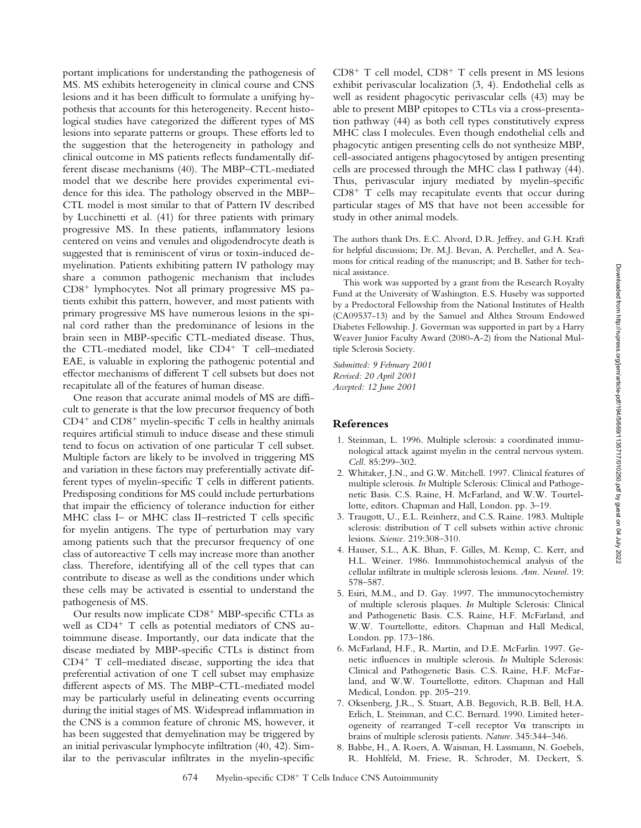portant implications for understanding the pathogenesis of MS. MS exhibits heterogeneity in clinical course and CNS lesions and it has been difficult to formulate a unifying hypothesis that accounts for this heterogeneity. Recent histological studies have categorized the different types of MS lesions into separate patterns or groups. These efforts led to the suggestion that the heterogeneity in pathology and clinical outcome in MS patients reflects fundamentally different disease mechanisms (40). The MBP–CTL-mediated model that we describe here provides experimental evidence for this idea. The pathology observed in the MBP– CTL model is most similar to that of Pattern IV described by Lucchinetti et al. (41) for three patients with primary progressive MS. In these patients, inflammatory lesions centered on veins and venules and oligodendrocyte death is suggested that is reminiscent of virus or toxin-induced demyelination. Patients exhibiting pattern IV pathology may share a common pathogenic mechanism that includes CD8- lymphocytes. Not all primary progressive MS patients exhibit this pattern, however, and most patients with primary progressive MS have numerous lesions in the spinal cord rather than the predominance of lesions in the brain seen in MBP-specific CTL-mediated disease. Thus, the CTL-mediated model, like CD4<sup>+</sup> T cell-mediated EAE, is valuable in exploring the pathogenic potential and effector mechanisms of different T cell subsets but does not recapitulate all of the features of human disease.

One reason that accurate animal models of MS are difficult to generate is that the low precursor frequency of both  $CD4^+$  and  $CD8^+$  myelin-specific T cells in healthy animals requires artificial stimuli to induce disease and these stimuli tend to focus on activation of one particular T cell subset. Multiple factors are likely to be involved in triggering MS and variation in these factors may preferentially activate different types of myelin-specific T cells in different patients. Predisposing conditions for MS could include perturbations that impair the efficiency of tolerance induction for either MHC class I– or MHC class II–restricted T cells specific for myelin antigens. The type of perturbation may vary among patients such that the precursor frequency of one class of autoreactive T cells may increase more than another class. Therefore, identifying all of the cell types that can contribute to disease as well as the conditions under which these cells may be activated is essential to understand the pathogenesis of MS.

Our results now implicate CD8<sup>+</sup> MBP-specific CTLs as well as CD4<sup>+</sup> T cells as potential mediators of CNS autoimmune disease. Importantly, our data indicate that the disease mediated by MBP-specific CTLs is distinct from CD4<sup>+</sup> T cell-mediated disease, supporting the idea that preferential activation of one T cell subset may emphasize different aspects of MS. The MBP–CTL-mediated model may be particularly useful in delineating events occurring during the initial stages of MS. Widespread inflammation in the CNS is a common feature of chronic MS, however, it has been suggested that demyelination may be triggered by an initial perivascular lymphocyte infiltration (40, 42). Similar to the perivascular infiltrates in the myelin-specific

CD8<sup>+</sup> T cell model, CD8<sup>+</sup> T cells present in MS lesions exhibit perivascular localization (3, 4). Endothelial cells as well as resident phagocytic perivascular cells (43) may be able to present MBP epitopes to CTLs via a cross-presentation pathway (44) as both cell types constitutively express MHC class I molecules. Even though endothelial cells and phagocytic antigen presenting cells do not synthesize MBP, cell-associated antigens phagocytosed by antigen presenting cells are processed through the MHC class I pathway (44). Thus, perivascular injury mediated by myelin-specific CD8<sup>+</sup> T cells may recapitulate events that occur during particular stages of MS that have not been accessible for study in other animal models.

The authors thank Drs. E.C. Alvord, D.R. Jeffrey, and G.H. Kraft for helpful discussions; Dr. M.J. Bevan, A. Perchellet, and A. Seamons for critical reading of the manuscript; and B. Sather for technical assistance.

This work was supported by a grant from the Research Royalty Fund at the University of Washington. E.S. Huseby was supported by a Predoctoral Fellowship from the National Institutes of Health (CA09537-13) and by the Samuel and Althea Stroum Endowed Diabetes Fellowship. J. Goverman was supported in part by a Harry Weaver Junior Faculty Award (2080-A-2) from the National Multiple Sclerosis Society.

*Submitted: 9 February 2001 Revised: 20 April 2001 Accepted: 12 June 2001*

### **References**

- 1. Steinman, L. 1996. Multiple sclerosis: a coordinated immunological attack against myelin in the central nervous system. *Cell.* 85:299–302.
- 2. Whitaker, J.N., and G.W. Mitchell. 1997. Clinical features of multiple sclerosis. *In* Multiple Sclerosis: Clinical and Pathogenetic Basis. C.S. Raine, H. McFarland, and W.W. Tourtellotte, editors. Chapman and Hall, London. pp. 3–19.
- 3. Traugott, U., E.L. Reinherz, and C.S. Raine. 1983. Multiple sclerosis: distribution of T cell subsets within active chronic lesions. *Science.* 219:308–310.
- 4. Hauser, S.L., A.K. Bhan, F. Gilles, M. Kemp, C. Kerr, and H.L. Weiner. 1986. Immunohistochemical analysis of the cellular infiltrate in multiple sclerosis lesions. *Ann. Neurol.* 19: 578–587.
- 5. Esiri, M.M., and D. Gay. 1997. The immunocytochemistry of multiple sclerosis plaques. *In* Multiple Sclerosis: Clinical and Pathogenetic Basis. C.S. Raine, H.F. McFarland, and W.W. Tourtellotte, editors. Chapman and Hall Medical, London. pp. 173–186.
- 6. McFarland, H.F., R. Martin, and D.E. McFarlin. 1997. Genetic influences in multiple sclerosis. *In* Multiple Sclerosis: Clinical and Pathogenetic Basis. C.S. Raine, H.F. McFarland, and W.W. Tourtellotte, editors. Chapman and Hall Medical, London. pp. 205–219.
- 7. Oksenberg, J.R., S. Stuart, A.B. Begovich, R.B. Bell, H.A. Erlich, L. Steinman, and C.C. Bernard. 1990. Limited heterogeneity of rearranged T-cell receptor  $V\alpha$  transcripts in brains of multiple sclerosis patients. *Nature.* 345:344–346.
- 8. Babbe, H., A. Roers, A. Waisman, H. Lassmann, N. Goebels, R. Hohlfeld, M. Friese, R. Schroder, M. Deckert, S.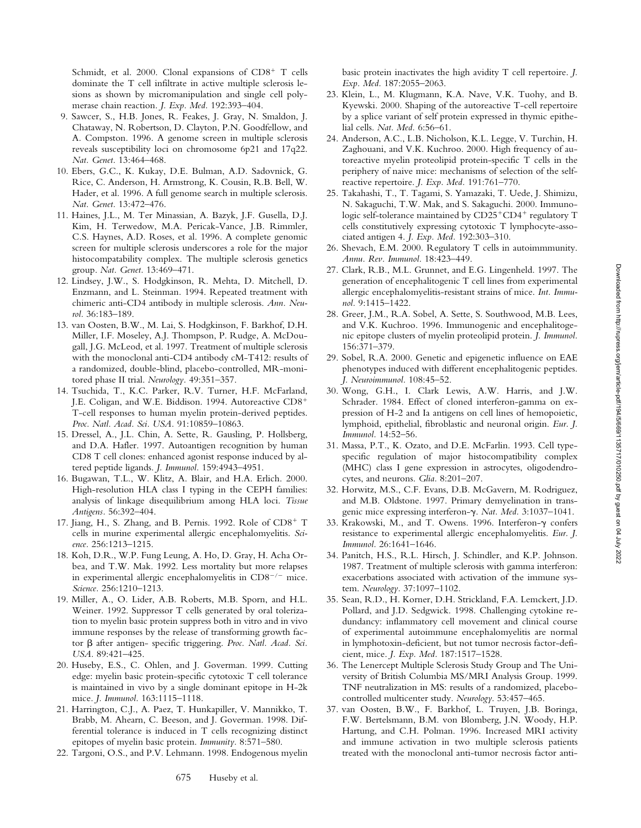Schmidt, et al. 2000. Clonal expansions of CD8<sup>+</sup> T cells dominate the T cell infiltrate in active multiple sclerosis lesions as shown by micromanipulation and single cell polymerase chain reaction. *J. Exp. Med.* 192:393–404.

- 9. Sawcer, S., H.B. Jones, R. Feakes, J. Gray, N. Smaldon, J. Chataway, N. Robertson, D. Clayton, P.N. Goodfellow, and A. Compston. 1996. A genome screen in multiple sclerosis reveals susceptibility loci on chromosome 6p21 and 17q22. *Nat. Genet.* 13:464–468.
- 10. Ebers, G.C., K. Kukay, D.E. Bulman, A.D. Sadovnick, G. Rice, C. Anderson, H. Armstrong, K. Cousin, R.B. Bell, W. Hader, et al. 1996. A full genome search in multiple sclerosis. *Nat. Genet.* 13:472–476.
- 11. Haines, J.L., M. Ter Minassian, A. Bazyk, J.F. Gusella, D.J. Kim, H. Terwedow, M.A. Pericak-Vance, J.B. Rimmler, C.S. Haynes, A.D. Roses, et al. 1996. A complete genomic screen for multiple sclerosis underscores a role for the major histocompatability complex. The multiple sclerosis genetics group. *Nat. Genet.* 13:469–471.
- 12. Lindsey, J.W., S. Hodgkinson, R. Mehta, D. Mitchell, D. Enzmann, and L. Steinman. 1994. Repeated treatment with chimeric anti-CD4 antibody in multiple sclerosis. *Ann. Neurol.* 36:183–189.
- 13. van Oosten, B.W., M. Lai, S. Hodgkinson, F. Barkhof, D.H. Miller, I.F. Moseley, A.J. Thompson, P. Rudge, A. McDougall, J.G. McLeod, et al. 1997. Treatment of multiple sclerosis with the monoclonal anti-CD4 antibody cM-T412: results of a randomized, double-blind, placebo-controlled, MR-monitored phase II trial. *Neurology.* 49:351–357.
- 14. Tsuchida, T., K.C. Parker, R.V. Turner, H.F. McFarland, J.E. Coligan, and W.E. Biddison. 1994. Autoreactive CD8- T-cell responses to human myelin protein-derived peptides. *Proc. Natl. Acad. Sci. USA.* 91:10859–10863.
- 15. Dressel, A., J.L. Chin, A. Sette, R. Gausling, P. Hollsberg, and D.A. Hafler. 1997. Autoantigen recognition by human CD8 T cell clones: enhanced agonist response induced by altered peptide ligands. *J. Immunol.* 159:4943–4951.
- 16. Bugawan, T.L., W. Klitz, A. Blair, and H.A. Erlich. 2000. High-resolution HLA class I typing in the CEPH families: analysis of linkage disequilibrium among HLA loci. *Tissue Antigens.* 56:392–404.
- 17. Jiang, H., S. Zhang, and B. Pernis. 1992. Role of CD8+ T cells in murine experimental allergic encephalomyelitis. *Science.* 256:1213–1215.
- 18. Koh, D.R., W.P. Fung Leung, A. Ho, D. Gray, H. Acha Orbea, and T.W. Mak. 1992. Less mortality but more relapses in experimental allergic encephalomyelitis in  $CD8^{-/-}$  mice. *Science.* 256:1210–1213.
- 19. Miller, A., O. Lider, A.B. Roberts, M.B. Sporn, and H.L. Weiner. 1992. Suppressor T cells generated by oral tolerization to myelin basic protein suppress both in vitro and in vivo immune responses by the release of transforming growth factor β after antigen- specific triggering. Proc. Natl. Acad. Sci. *USA.* 89:421–425.
- 20. Huseby, E.S., C. Ohlen, and J. Goverman. 1999. Cutting edge: myelin basic protein-specific cytotoxic T cell tolerance is maintained in vivo by a single dominant epitope in H-2k mice. *J. Immunol.* 163:1115–1118.
- 21. Harrington, C.J., A. Paez, T. Hunkapiller, V. Mannikko, T. Brabb, M. Ahearn, C. Beeson, and J. Goverman. 1998. Differential tolerance is induced in T cells recognizing distinct epitopes of myelin basic protein. *Immunity.* 8:571–580.
- 22. Targoni, O.S., and P.V. Lehmann. 1998. Endogenous myelin

basic protein inactivates the high avidity T cell repertoire. *J. Exp. Med.* 187:2055–2063.

- 23. Klein, L., M. Klugmann, K.A. Nave, V.K. Tuohy, and B. Kyewski. 2000. Shaping of the autoreactive T-cell repertoire by a splice variant of self protein expressed in thymic epithelial cells. *Nat. Med.* 6:56–61.
- 24. Anderson, A.C., L.B. Nicholson, K.L. Legge, V. Turchin, H. Zaghouani, and V.K. Kuchroo. 2000. High frequency of autoreactive myelin proteolipid protein-specific T cells in the periphery of naive mice: mechanisms of selection of the selfreactive repertoire. *J. Exp. Med.* 191:761–770.
- 25. Takahashi, T., T. Tagami, S. Yamazaki, T. Uede, J. Shimizu, N. Sakaguchi, T.W. Mak, and S. Sakaguchi. 2000. Immunologic self-tolerance maintained by CD25<sup>+</sup>CD4<sup>+</sup> regulatory T cells constitutively expressing cytotoxic T lymphocyte-associated antigen 4. *J. Exp. Med.* 192:303–310.
- 26. Shevach, E.M. 2000. Regulatory T cells in autoimmmunity. *Annu. Rev. Immunol.* 18:423–449.
- 27. Clark, R.B., M.L. Grunnet, and E.G. Lingenheld. 1997. The generation of encephalitogenic T cell lines from experimental allergic encephalomyelitis-resistant strains of mice. *Int. Immunol.* 9:1415–1422.
- 28. Greer, J.M., R.A. Sobel, A. Sette, S. Southwood, M.B. Lees, and V.K. Kuchroo. 1996. Immunogenic and encephalitogenic epitope clusters of myelin proteolipid protein. *J. Immunol.* 156:371–379.
- 29. Sobel, R.A. 2000. Genetic and epigenetic influence on EAE phenotypes induced with different encephalitogenic peptides. *J. Neuroimmunol.* 108:45–52.
- 30. Wong, G.H., I. Clark Lewis, A.W. Harris, and J.W. Schrader. 1984. Effect of cloned interferon-gamma on expression of H-2 and Ia antigens on cell lines of hemopoietic, lymphoid, epithelial, fibroblastic and neuronal origin. *Eur. J. Immunol.* 14:52–56.
- 31. Massa, P.T., K. Ozato, and D.E. McFarlin. 1993. Cell typespecific regulation of major histocompatibility complex (MHC) class I gene expression in astrocytes, oligodendrocytes, and neurons. *Glia.* 8:201–207.
- 32. Horwitz, M.S., C.F. Evans, D.B. McGavern, M. Rodriguez, and M.B. Oldstone. 1997. Primary demyelination in transgenic mice expressing interferon- $\gamma$ . *Nat. Med.* 3:1037-1041.
- 33. Krakowski, M., and T. Owens. 1996. Interferon- $\gamma$  confers resistance to experimental allergic encephalomyelitis. *Eur. J. Immunol.* 26:1641–1646.
- 34. Panitch, H.S., R.L. Hirsch, J. Schindler, and K.P. Johnson. 1987. Treatment of multiple sclerosis with gamma interferon: exacerbations associated with activation of the immune system. *Neurology.* 37:1097–1102.
- 35. Sean, R.D., H. Korner, D.H. Strickland, F.A. Lemckert, J.D. Pollard, and J.D. Sedgwick. 1998. Challenging cytokine redundancy: inflammatory cell movement and clinical course of experimental autoimmune encephalomyelitis are normal in lymphotoxin-deficient, but not tumor necrosis factor-deficient, mice. *J. Exp. Med.* 187:1517–1528.
- 36. The Lenercept Multiple Sclerosis Study Group and The University of British Columbia MS/MRI Analysis Group. 1999. TNF neutralization in MS: results of a randomized, placebocontrolled multicenter study. *Neurology*. 53:457–465.
- 37. van Oosten, B.W., F. Barkhof, L. Truyen, J.B. Boringa, F.W. Bertelsmann, B.M. von Blomberg, J.N. Woody, H.P. Hartung, and C.H. Polman. 1996. Increased MRI activity and immune activation in two multiple sclerosis patients treated with the monoclonal anti-tumor necrosis factor anti-